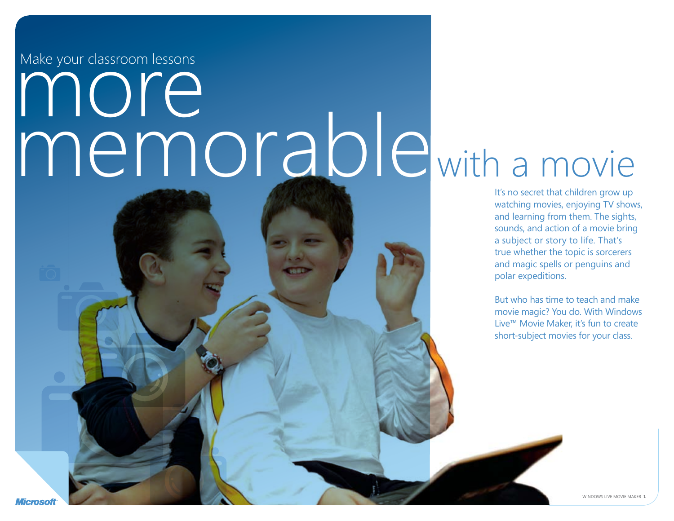Make your classroom lessons

# more<br>memorablewith a movie

It's no secret that children grow up watching movies, enjoying TV shows, and learning from them. The sights, sounds, and action of a movie bring a subject or story to life. That's true whether the topic is sorcerers and magic spells or penguins and polar expeditions.

But who has time to teach and make movie magic? You do. With Windows Live™ Movie Maker, it's fun to create short-subject movies for your class.

Microsot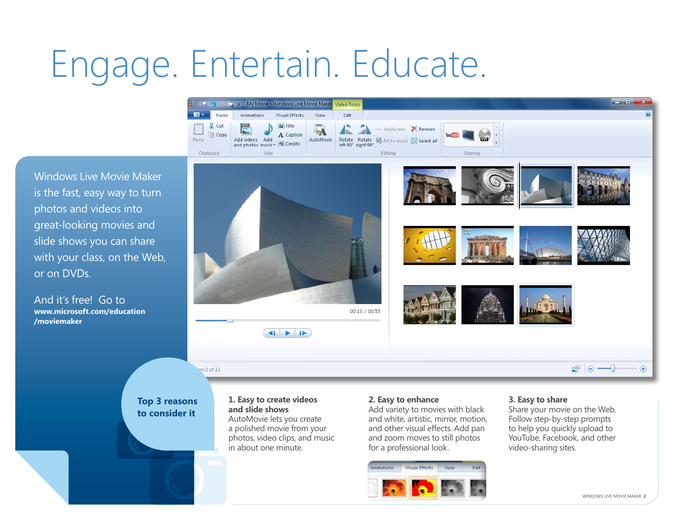### Engage. Entertain. Educate.



Windows Live Movie Maker is the fast, easy way to turn photos and videos into great-looking movies and slide shows you can share with your class, on the Web, or on DVDs.

And it's free! Go to **www.microsoft.com/education /moviemaker**



### **Top 3 reasons to consider it**

### **1. Easy to create videos and slide shows** AutoMovie lets you create a polished movie from your photos, video clips, and music in about one minute.

### **2. Easy to enhance**

Add variety to movies with black and white, artistic, mirror, motion, and other visual effects. Add pan and zoom moves to still photos for a professional look.



### **3. Easy to share**

Share your movie on the Web. Follow step-by-step prompts to help you quickly upload to YouTube, Facebook, and other video-sharing sites.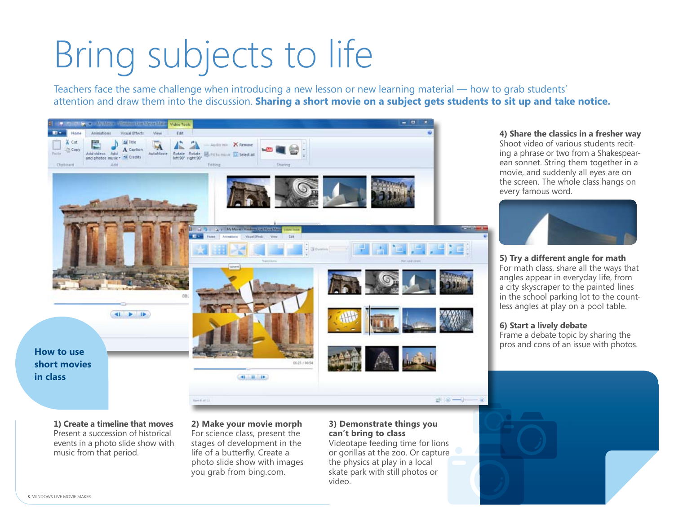# Bring subjects to life

Teachers face the same challenge when introducing a new lesson or new learning material — how to grab students' attention and draw them into the discussion. **Sharing a short movie on a subject gets students to sit up and take notice.**



**4) Share the classics in a fresher way** Shoot video of various students reciting a phrase or two from a Shakespearean sonnet. String them together in a movie, and suddenly all eyes are on the screen. The whole class hangs on every famous word.



**5) Try a different angle for math** For math class, share all the ways that angles appear in everyday life, from a city skyscraper to the painted lines in the school parking lot to the countless angles at play on a pool table.

### **6) Start a lively debate**

Frame a debate topic by sharing the

**short movies in class**

> **1) Create a timeline that moves**  Present a succession of historical events in a photo slide show with music from that period.

**2) Make your movie morph** For science class, present the stages of development in the life of a butterfly. Create a photo slide show with images you grab from bing.com.

### **3) Demonstrate things you can't bring to class**

Videotape feeding time for lions or gorillas at the zoo. Or capture the physics at play in a local skate park with still photos or video.

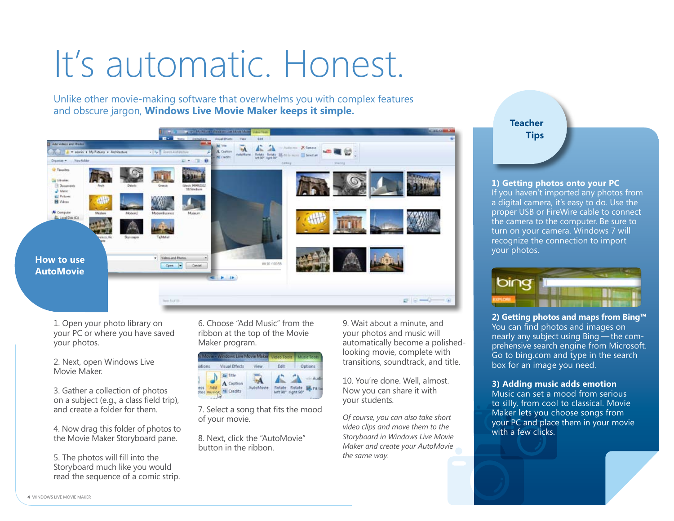### It's automatic. Honest.

Unlike other movie-making software that overwhelms you with complex features and obscure jargon, **Windows Live Movie Maker keeps it simple.** 



1. Open your photo library on your PC or where you have saved your photos.

2. Next, open Windows Live Movie Maker.

3. Gather a collection of photos on a subject (e.g., a class field trip), and create a folder for them.

4. Now drag this folder of photos to the Movie Maker Storyboard pane.

5. The photos will fill into the Storyboard much like you would read the sequence of a comic strip. 6. Choose "Add Music" from the ribbon at the top of the Movie Maker program.

| Allows Windows Live Movie Maker Video Tools Music Tools |                    |              |                    |         |
|---------------------------------------------------------|--------------------|--------------|--------------------|---------|
|                                                         | Visual Effects     | View         | Edit               | Options |
|                                                         | Caption<br>Credits | Movie<br>uto | left 90° right 90° |         |

7. Select a song that fits the mood of your movie.

8. Next, click the "AutoMovie" button in the ribbon.

9. Wait about a minute, and your photos and music will automatically become a polishedlooking movie, complete with transitions, soundtrack, and title.

10. You're done. Well, almost. Now you can share it with your students.

*Of course, you can also take short video clips and move them to the Storyboard in Windows Live Movie Maker and create your AutoMovie the same way.*



**1) Getting photos onto your PC**

If you haven't imported any photos from a digital camera, it's easy to do. Use the proper USB or FireWire cable to connect the camera to the computer. Be sure to turn on your camera. Windows 7 will recognize the connection to import your photos.



**2) Getting photos and maps from Bing™** You can find photos and images on nearly any subject using Bing — the comprehensive search engine from Microsoft. Go to bing.com and type in the search box for an image you need.

### **3) Adding music adds emotion**

Music can set a mood from serious to silly, from cool to classical. Movie Maker lets you choose songs from your PC and place them in your movie with a few clicks.